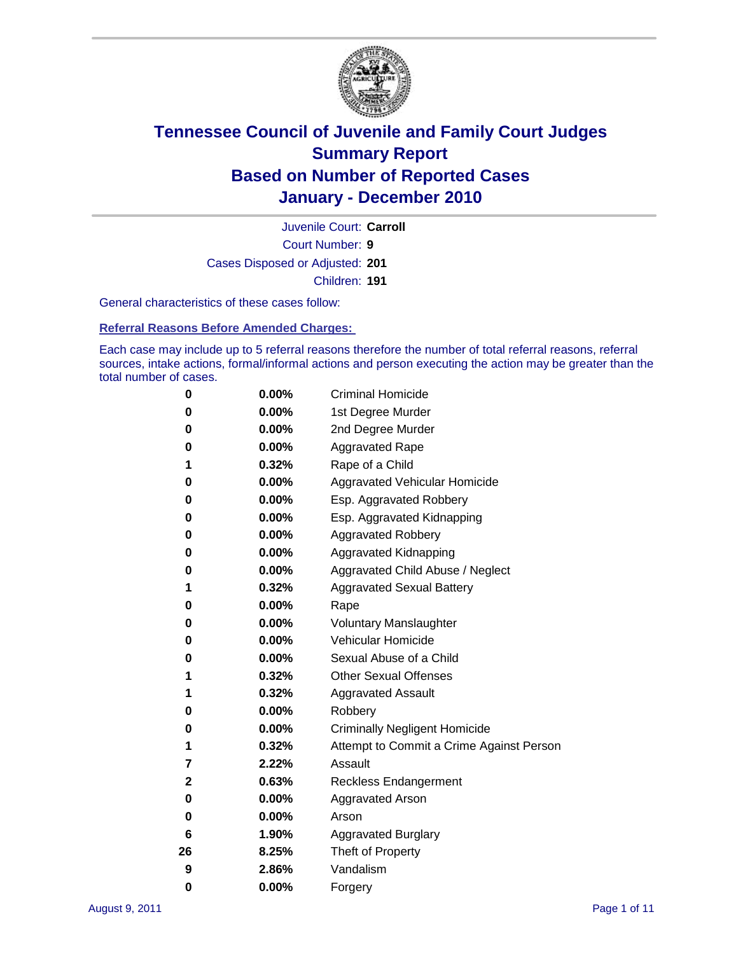

Court Number: **9** Juvenile Court: **Carroll** Cases Disposed or Adjusted: **201** Children: **191**

General characteristics of these cases follow:

**Referral Reasons Before Amended Charges:** 

Each case may include up to 5 referral reasons therefore the number of total referral reasons, referral sources, intake actions, formal/informal actions and person executing the action may be greater than the total number of cases.

| 0  | 0.00%    | <b>Criminal Homicide</b>                 |  |  |  |  |
|----|----------|------------------------------------------|--|--|--|--|
| 0  | 0.00%    | 1st Degree Murder                        |  |  |  |  |
| 0  | 0.00%    | 2nd Degree Murder                        |  |  |  |  |
| 0  | 0.00%    | <b>Aggravated Rape</b>                   |  |  |  |  |
| 1  | 0.32%    | Rape of a Child                          |  |  |  |  |
| 0  | 0.00%    | Aggravated Vehicular Homicide            |  |  |  |  |
| 0  | 0.00%    | Esp. Aggravated Robbery                  |  |  |  |  |
| 0  | 0.00%    | Esp. Aggravated Kidnapping               |  |  |  |  |
| 0  | 0.00%    | <b>Aggravated Robbery</b>                |  |  |  |  |
| 0  | 0.00%    | Aggravated Kidnapping                    |  |  |  |  |
| 0  | 0.00%    | Aggravated Child Abuse / Neglect         |  |  |  |  |
| 1  | 0.32%    | <b>Aggravated Sexual Battery</b>         |  |  |  |  |
| 0  | 0.00%    | Rape                                     |  |  |  |  |
| 0  | 0.00%    | <b>Voluntary Manslaughter</b>            |  |  |  |  |
| 0  | 0.00%    | Vehicular Homicide                       |  |  |  |  |
| 0  | 0.00%    | Sexual Abuse of a Child                  |  |  |  |  |
| 1  | 0.32%    | <b>Other Sexual Offenses</b>             |  |  |  |  |
| 1  | 0.32%    | <b>Aggravated Assault</b>                |  |  |  |  |
| 0  | 0.00%    | Robbery                                  |  |  |  |  |
| 0  | 0.00%    | <b>Criminally Negligent Homicide</b>     |  |  |  |  |
| 1  | 0.32%    | Attempt to Commit a Crime Against Person |  |  |  |  |
| 7  | 2.22%    | Assault                                  |  |  |  |  |
| 2  | 0.63%    | <b>Reckless Endangerment</b>             |  |  |  |  |
| 0  | 0.00%    | <b>Aggravated Arson</b>                  |  |  |  |  |
| 0  | $0.00\%$ | Arson                                    |  |  |  |  |
| 6  | 1.90%    | <b>Aggravated Burglary</b>               |  |  |  |  |
| 26 | 8.25%    | Theft of Property                        |  |  |  |  |
| 9  | 2.86%    | Vandalism                                |  |  |  |  |
| 0  | 0.00%    | Forgery                                  |  |  |  |  |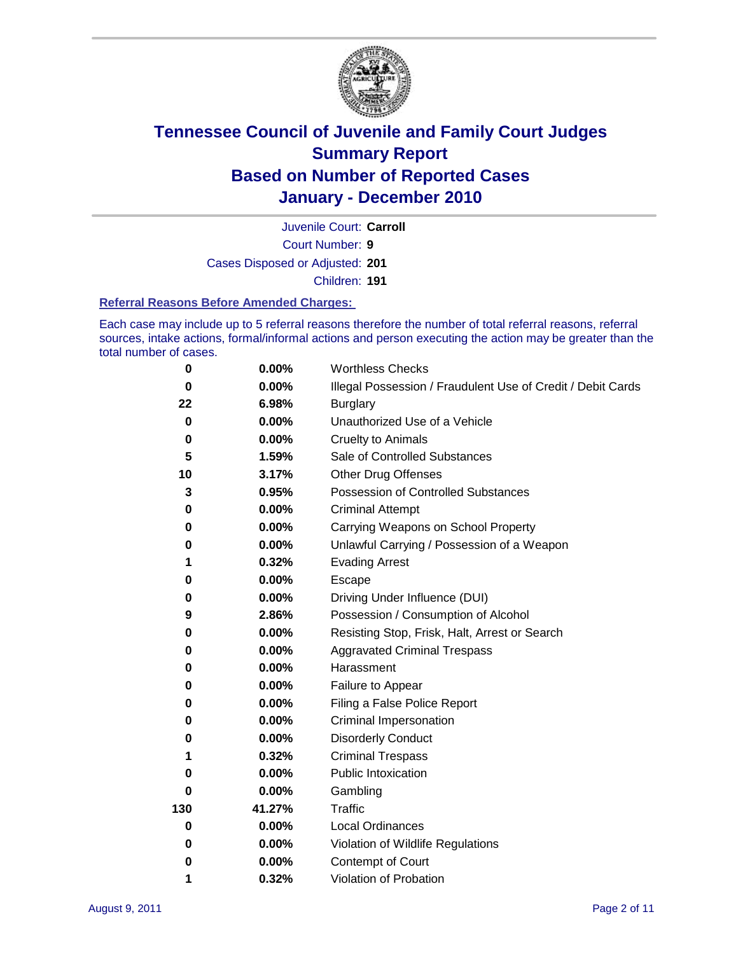

Court Number: **9** Juvenile Court: **Carroll** Cases Disposed or Adjusted: **201**

Children: **191**

#### **Referral Reasons Before Amended Charges:**

Each case may include up to 5 referral reasons therefore the number of total referral reasons, referral sources, intake actions, formal/informal actions and person executing the action may be greater than the total number of cases.

| $\pmb{0}$ | 0.00%    | <b>Worthless Checks</b>                                     |  |  |
|-----------|----------|-------------------------------------------------------------|--|--|
| 0         | 0.00%    | Illegal Possession / Fraudulent Use of Credit / Debit Cards |  |  |
| 22        | 6.98%    | <b>Burglary</b>                                             |  |  |
| $\bf{0}$  | $0.00\%$ | Unauthorized Use of a Vehicle                               |  |  |
| $\pmb{0}$ | $0.00\%$ | <b>Cruelty to Animals</b>                                   |  |  |
| 5         | 1.59%    | Sale of Controlled Substances                               |  |  |
| 10        | 3.17%    | <b>Other Drug Offenses</b>                                  |  |  |
| 3         | 0.95%    | Possession of Controlled Substances                         |  |  |
| 0         | $0.00\%$ | <b>Criminal Attempt</b>                                     |  |  |
| 0         | 0.00%    | Carrying Weapons on School Property                         |  |  |
| 0         | $0.00\%$ | Unlawful Carrying / Possession of a Weapon                  |  |  |
| 1         | 0.32%    | <b>Evading Arrest</b>                                       |  |  |
| 0         | 0.00%    | Escape                                                      |  |  |
| 0         | 0.00%    | Driving Under Influence (DUI)                               |  |  |
| 9         | 2.86%    | Possession / Consumption of Alcohol                         |  |  |
| 0         | $0.00\%$ | Resisting Stop, Frisk, Halt, Arrest or Search               |  |  |
| 0         | $0.00\%$ | <b>Aggravated Criminal Trespass</b>                         |  |  |
| 0         | $0.00\%$ | Harassment                                                  |  |  |
| 0         | 0.00%    | Failure to Appear                                           |  |  |
| 0         | $0.00\%$ | Filing a False Police Report                                |  |  |
| 0         | 0.00%    | Criminal Impersonation                                      |  |  |
| 0         | $0.00\%$ | <b>Disorderly Conduct</b>                                   |  |  |
| 1         | 0.32%    | <b>Criminal Trespass</b>                                    |  |  |
| 0         | 0.00%    | Public Intoxication                                         |  |  |
| 0         | $0.00\%$ | Gambling                                                    |  |  |
| 130       | 41.27%   | Traffic                                                     |  |  |
| 0         | $0.00\%$ | <b>Local Ordinances</b>                                     |  |  |
| 0         | 0.00%    | Violation of Wildlife Regulations                           |  |  |
| 0         | $0.00\%$ | Contempt of Court                                           |  |  |
| 1         | 0.32%    | Violation of Probation                                      |  |  |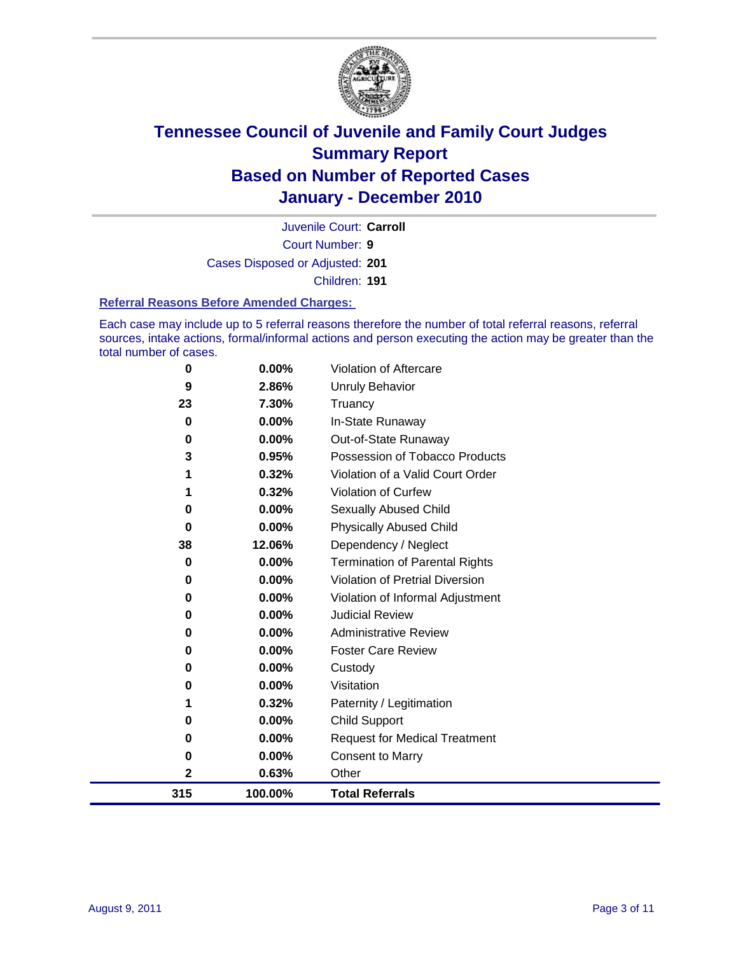

Court Number: **9** Juvenile Court: **Carroll** Cases Disposed or Adjusted: **201** Children: **191**

#### **Referral Reasons Before Amended Charges:**

Each case may include up to 5 referral reasons therefore the number of total referral reasons, referral sources, intake actions, formal/informal actions and person executing the action may be greater than the total number of cases.

| $\mathbf 2$<br>315 | 0.63%<br>100.00% | Other<br><b>Total Referrals</b>                        |
|--------------------|------------------|--------------------------------------------------------|
| 0                  | 0.00%            | <b>Consent to Marry</b>                                |
| 0                  | 0.00%            | <b>Request for Medical Treatment</b>                   |
| 0                  | 0.00%            | <b>Child Support</b>                                   |
|                    | 0.32%            | Paternity / Legitimation                               |
| 0                  | 0.00%            | Visitation                                             |
| 0                  | 0.00%            | Custody                                                |
| 0                  | $0.00\%$         | <b>Foster Care Review</b>                              |
| 0                  | $0.00\%$         | <b>Administrative Review</b>                           |
| 0                  | $0.00\%$         | <b>Judicial Review</b>                                 |
| 0                  | 0.00%            | Violation of Informal Adjustment                       |
| 0                  | 0.00%            | <b>Violation of Pretrial Diversion</b>                 |
| 0                  | 0.00%            | <b>Termination of Parental Rights</b>                  |
| 38                 | 12.06%           | Dependency / Neglect                                   |
| $\bf{0}$           | 0.00%            | <b>Physically Abused Child</b>                         |
| 0                  | 0.00%            | Sexually Abused Child                                  |
|                    | 0.32%            | Violation of Curfew                                    |
| 3                  | 0.95%<br>0.32%   | Violation of a Valid Court Order                       |
| 0                  | 0.00%            | Out-of-State Runaway<br>Possession of Tobacco Products |
| 0                  | $0.00\%$         | In-State Runaway                                       |
| 23                 | 7.30%            | Truancy                                                |
| 9                  | 2.86%            | <b>Unruly Behavior</b>                                 |
| 0                  | 0.00%            | Violation of Aftercare                                 |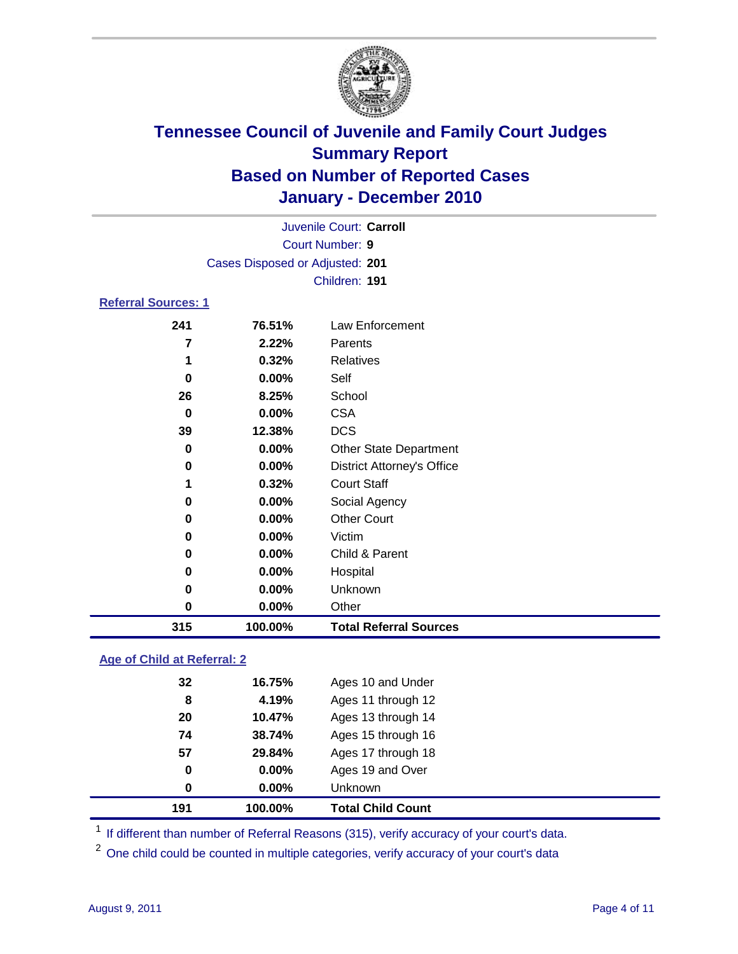

| Juvenile Court: Carroll    |                                 |                                   |  |
|----------------------------|---------------------------------|-----------------------------------|--|
|                            | <b>Court Number: 9</b>          |                                   |  |
|                            | Cases Disposed or Adjusted: 201 |                                   |  |
|                            |                                 | Children: 191                     |  |
| <b>Referral Sources: 1</b> |                                 |                                   |  |
| 241                        | 76.51%                          | Law Enforcement                   |  |
| 7                          | 2.22%                           | Parents                           |  |
| 1                          | 0.32%                           | <b>Relatives</b>                  |  |
| $\bf{0}$                   | $0.00\%$                        | Self                              |  |
| 26                         | 8.25%                           | School                            |  |
| 0                          | $0.00\%$                        | <b>CSA</b>                        |  |
| 39                         | 12.38%                          | <b>DCS</b>                        |  |
| $\bf{0}$                   | 0.00%                           | Other State Department            |  |
| 0                          | $0.00\%$                        | <b>District Attorney's Office</b> |  |
| 1                          | 0.32%                           | <b>Court Staff</b>                |  |
| 0                          | 0.00%                           | Social Agency                     |  |
| 0                          | 0.00%                           | <b>Other Court</b>                |  |
| 0                          | $0.00\%$                        | Victim                            |  |
| 0                          | 0.00%                           | Child & Parent                    |  |
| 0                          | $0.00\%$                        | Hospital                          |  |
| 0                          | $0.00\%$                        | Unknown                           |  |
| 0                          | 0.00%                           | Other                             |  |
| 315                        | 100.00%                         | <b>Total Referral Sources</b>     |  |

### **Age of Child at Referral: 2**

| 191 | 100.00%       | <b>Total Child Count</b> |
|-----|---------------|--------------------------|
|     | 0.00%<br>0    | <b>Unknown</b>           |
|     | $0.00\%$<br>0 | Ages 19 and Over         |
| 57  | 29.84%        | Ages 17 through 18       |
|     | 38.74%<br>74  | Ages 15 through 16       |
|     | 10.47%<br>20  | Ages 13 through 14       |
|     | 4.19%<br>8    | Ages 11 through 12       |
|     | 32<br>16.75%  | Ages 10 and Under        |
|     |               |                          |

<sup>1</sup> If different than number of Referral Reasons (315), verify accuracy of your court's data.

<sup>2</sup> One child could be counted in multiple categories, verify accuracy of your court's data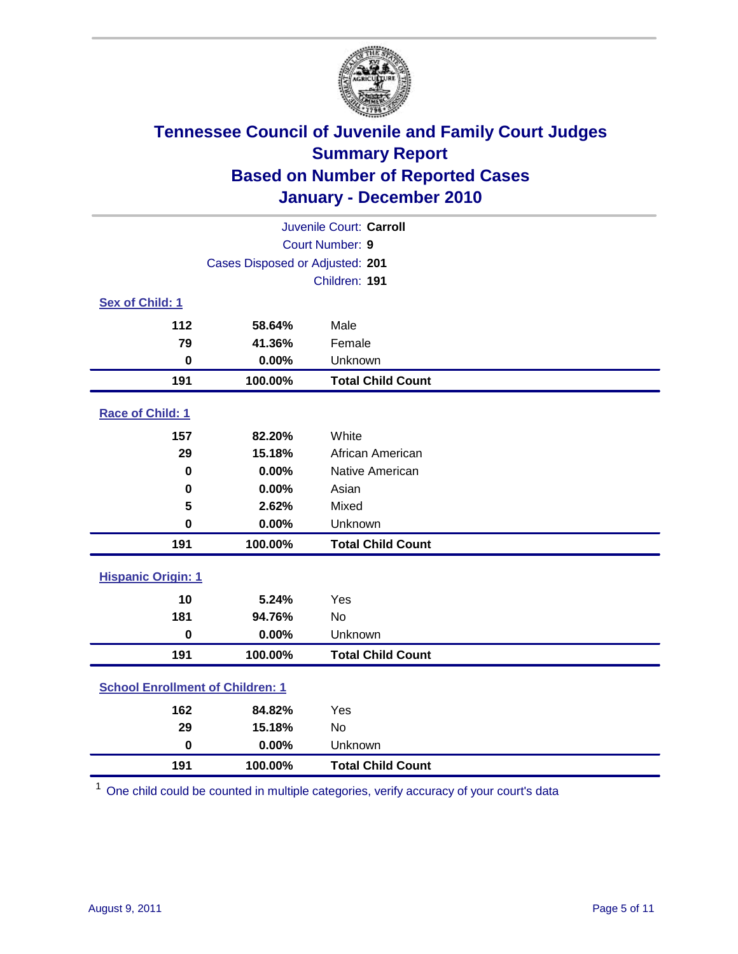

| Juvenile Court: Carroll                 |                                 |                          |  |  |
|-----------------------------------------|---------------------------------|--------------------------|--|--|
|                                         | Court Number: 9                 |                          |  |  |
|                                         | Cases Disposed or Adjusted: 201 |                          |  |  |
|                                         |                                 | Children: 191            |  |  |
| Sex of Child: 1                         |                                 |                          |  |  |
| 112                                     | 58.64%                          | Male                     |  |  |
| 79                                      | 41.36%                          | Female                   |  |  |
| $\mathbf 0$                             | 0.00%                           | Unknown                  |  |  |
| 191                                     | 100.00%                         | <b>Total Child Count</b> |  |  |
| Race of Child: 1                        |                                 |                          |  |  |
| 157                                     | 82.20%                          | White                    |  |  |
| 29                                      | 15.18%                          | African American         |  |  |
| $\mathbf 0$                             | 0.00%                           | Native American          |  |  |
| $\mathbf 0$                             | 0.00%                           | Asian                    |  |  |
| 5                                       | 2.62%                           | Mixed                    |  |  |
| $\mathbf 0$                             | 0.00%                           | Unknown                  |  |  |
| 191                                     | 100.00%                         | <b>Total Child Count</b> |  |  |
| <b>Hispanic Origin: 1</b>               |                                 |                          |  |  |
| 10                                      | 5.24%                           | Yes                      |  |  |
| 181                                     | 94.76%                          | No                       |  |  |
| $\mathbf 0$                             | 0.00%                           | Unknown                  |  |  |
| 191                                     | 100.00%                         | <b>Total Child Count</b> |  |  |
| <b>School Enrollment of Children: 1</b> |                                 |                          |  |  |
| 162                                     | 84.82%                          | Yes                      |  |  |
| 29                                      | 15.18%                          | No                       |  |  |
| $\mathbf 0$                             | 0.00%                           | Unknown                  |  |  |
| 191                                     | 100.00%                         | <b>Total Child Count</b> |  |  |

One child could be counted in multiple categories, verify accuracy of your court's data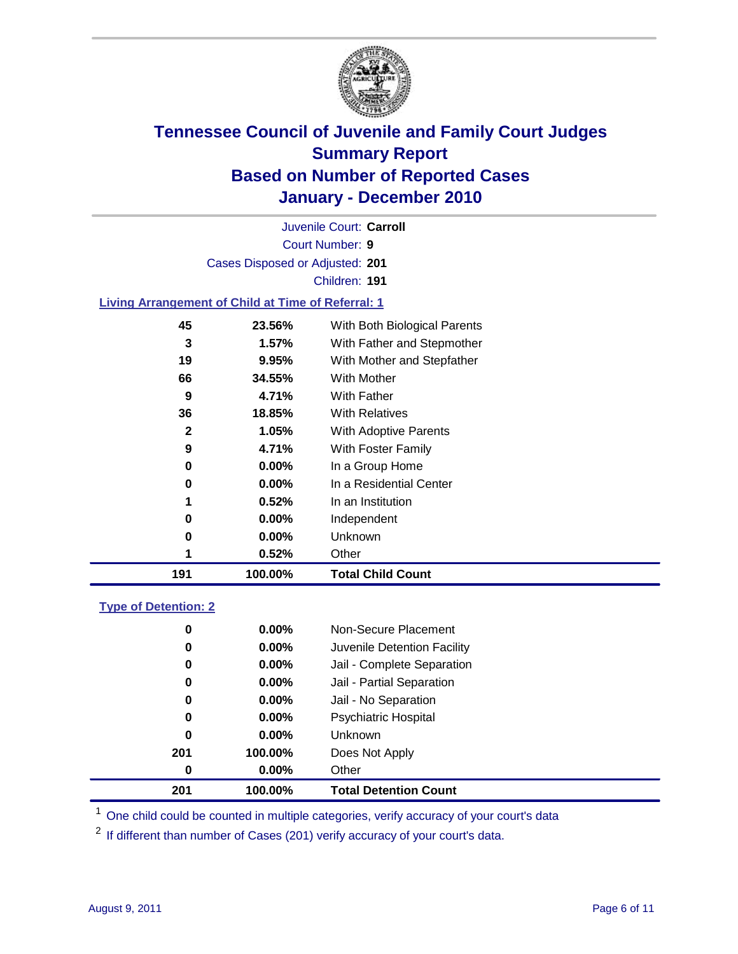

Court Number: **9** Juvenile Court: **Carroll** Cases Disposed or Adjusted: **201** Children: **191**

#### **Living Arrangement of Child at Time of Referral: 1**

| 191 | 100.00%  | <b>Total Child Count</b>     |
|-----|----------|------------------------------|
| 1   | 0.52%    | Other                        |
| 0   | 0.00%    | Unknown                      |
| 0   | $0.00\%$ | Independent                  |
| 1   | 0.52%    | In an Institution            |
| 0   | $0.00\%$ | In a Residential Center      |
| 0   | 0.00%    | In a Group Home              |
| 9   | 4.71%    | With Foster Family           |
| 2   | 1.05%    | With Adoptive Parents        |
| 36  | 18.85%   | <b>With Relatives</b>        |
| 9   | 4.71%    | With Father                  |
| 66  | 34.55%   | With Mother                  |
| 19  | 9.95%    | With Mother and Stepfather   |
| 3   | 1.57%    | With Father and Stepmother   |
| 45  | 23.56%   | With Both Biological Parents |
|     |          |                              |

#### **Type of Detention: 2**

| 201 | 100.00%  | <b>Total Detention Count</b> |  |
|-----|----------|------------------------------|--|
| 0   | $0.00\%$ | Other                        |  |
| 201 | 100.00%  | Does Not Apply               |  |
| 0   | $0.00\%$ | <b>Unknown</b>               |  |
| 0   | 0.00%    | <b>Psychiatric Hospital</b>  |  |
| 0   | 0.00%    | Jail - No Separation         |  |
| 0   | $0.00\%$ | Jail - Partial Separation    |  |
| 0   | $0.00\%$ | Jail - Complete Separation   |  |
| 0   | 0.00%    | Juvenile Detention Facility  |  |
| 0   | $0.00\%$ | Non-Secure Placement         |  |
|     |          |                              |  |

<sup>1</sup> One child could be counted in multiple categories, verify accuracy of your court's data

<sup>2</sup> If different than number of Cases (201) verify accuracy of your court's data.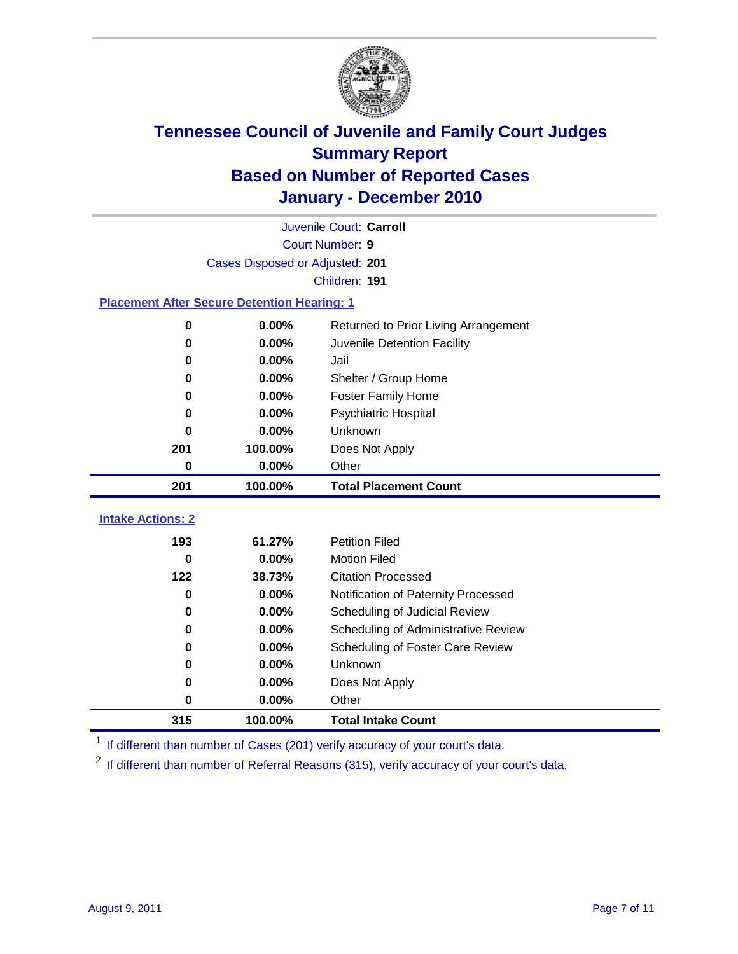

|                                                    | Juvenile Court: Carroll         |                                      |  |  |  |
|----------------------------------------------------|---------------------------------|--------------------------------------|--|--|--|
|                                                    | Court Number: 9                 |                                      |  |  |  |
|                                                    | Cases Disposed or Adjusted: 201 |                                      |  |  |  |
|                                                    |                                 | Children: 191                        |  |  |  |
| <b>Placement After Secure Detention Hearing: 1</b> |                                 |                                      |  |  |  |
| $\mathbf 0$                                        | 0.00%                           | Returned to Prior Living Arrangement |  |  |  |
| $\bf{0}$                                           | 0.00%                           | Juvenile Detention Facility          |  |  |  |
| 0                                                  | 0.00%                           | Jail                                 |  |  |  |
| $\bf{0}$                                           | 0.00%                           | Shelter / Group Home                 |  |  |  |
| 0                                                  | 0.00%                           | <b>Foster Family Home</b>            |  |  |  |
| 0                                                  | 0.00%                           | Psychiatric Hospital                 |  |  |  |
| U                                                  | 0.00%                           | Unknown                              |  |  |  |
| 201                                                | 100.00%                         | Does Not Apply                       |  |  |  |
| $\mathbf 0$                                        | 0.00%                           | Other                                |  |  |  |
| 201                                                | 100.00%                         | <b>Total Placement Count</b>         |  |  |  |
| <b>Intake Actions: 2</b>                           |                                 |                                      |  |  |  |
| 193                                                | 61.27%                          | <b>Petition Filed</b>                |  |  |  |
| $\bf{0}$                                           | 0.00%                           | <b>Motion Filed</b>                  |  |  |  |
| 122                                                | 38.73%                          | <b>Citation Processed</b>            |  |  |  |
| $\bf{0}$                                           | 0.00%                           | Notification of Paternity Processed  |  |  |  |
| $\mathbf 0$                                        | 0.00%                           | Scheduling of Judicial Review        |  |  |  |
| $\bf{0}$                                           | 0.00%                           | Scheduling of Administrative Review  |  |  |  |
| 0                                                  | 0.00%                           | Scheduling of Foster Care Review     |  |  |  |
| 0                                                  | 0.00%                           | Unknown                              |  |  |  |
| 0                                                  | 0.00%                           | Does Not Apply                       |  |  |  |
| $\mathbf 0$                                        | 0.00%                           | Other                                |  |  |  |
|                                                    |                                 |                                      |  |  |  |
| 315                                                | 100.00%                         | <b>Total Intake Count</b>            |  |  |  |

<sup>1</sup> If different than number of Cases (201) verify accuracy of your court's data.

<sup>2</sup> If different than number of Referral Reasons (315), verify accuracy of your court's data.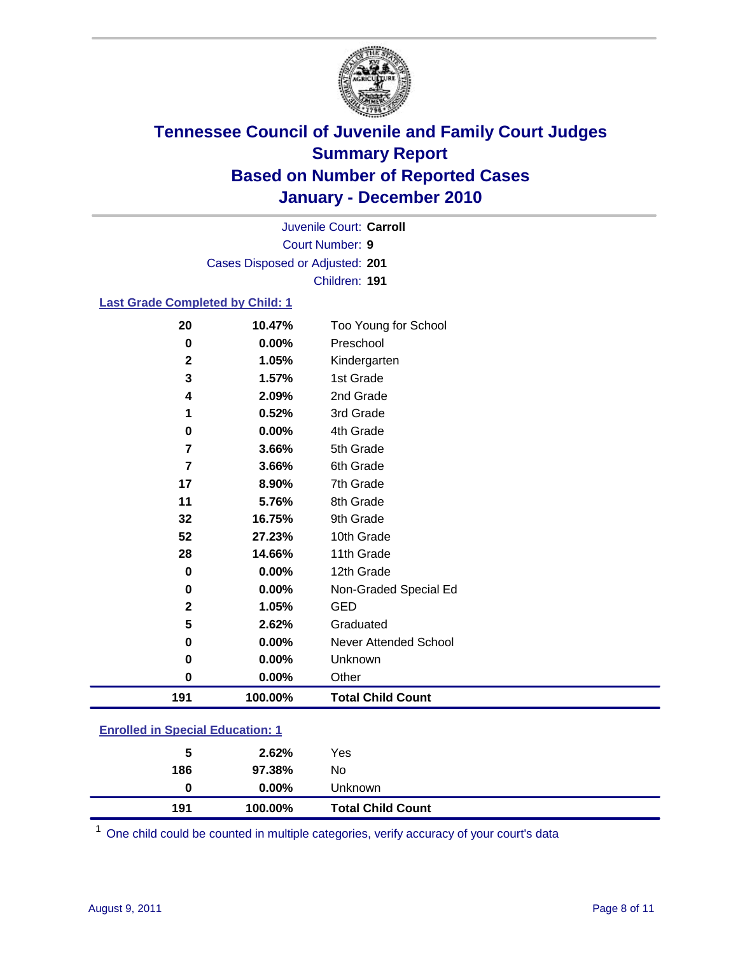

Court Number: **9** Juvenile Court: **Carroll** Cases Disposed or Adjusted: **201** Children: **191**

#### **Last Grade Completed by Child: 1**

| 20                                      | 10.47%  | Too Young for School         |  |
|-----------------------------------------|---------|------------------------------|--|
| 0                                       | 0.00%   | Preschool                    |  |
| $\mathbf{2}$                            | 1.05%   | Kindergarten                 |  |
| 3                                       | 1.57%   | 1st Grade                    |  |
| 4                                       | 2.09%   | 2nd Grade                    |  |
| 1                                       | 0.52%   | 3rd Grade                    |  |
| 0                                       | 0.00%   | 4th Grade                    |  |
| $\overline{7}$                          | 3.66%   | 5th Grade                    |  |
| $\overline{7}$                          | 3.66%   | 6th Grade                    |  |
| 17                                      | 8.90%   | 7th Grade                    |  |
| 11                                      | 5.76%   | 8th Grade                    |  |
| 32                                      | 16.75%  | 9th Grade                    |  |
| 52                                      | 27.23%  | 10th Grade                   |  |
| 28                                      | 14.66%  | 11th Grade                   |  |
| $\bf{0}$                                | 0.00%   | 12th Grade                   |  |
| 0                                       | 0.00%   | Non-Graded Special Ed        |  |
| 2                                       | 1.05%   | <b>GED</b>                   |  |
| 5                                       | 2.62%   | Graduated                    |  |
| 0                                       | 0.00%   | <b>Never Attended School</b> |  |
| 0                                       | 0.00%   | Unknown                      |  |
| $\mathbf 0$                             | 0.00%   | Other                        |  |
| 191                                     | 100.00% | <b>Total Child Count</b>     |  |
| <b>Enrolled in Special Education: 1</b> |         |                              |  |

| 191                                      | 100.00%  | <b>Total Child Count</b> |  |  |
|------------------------------------------|----------|--------------------------|--|--|
| 0                                        | $0.00\%$ | Unknown                  |  |  |
| 186                                      | 97.38%   | No                       |  |  |
| 5                                        | 2.62%    | Yes                      |  |  |
| <u>Einvilled in Opecial Education. T</u> |          |                          |  |  |

One child could be counted in multiple categories, verify accuracy of your court's data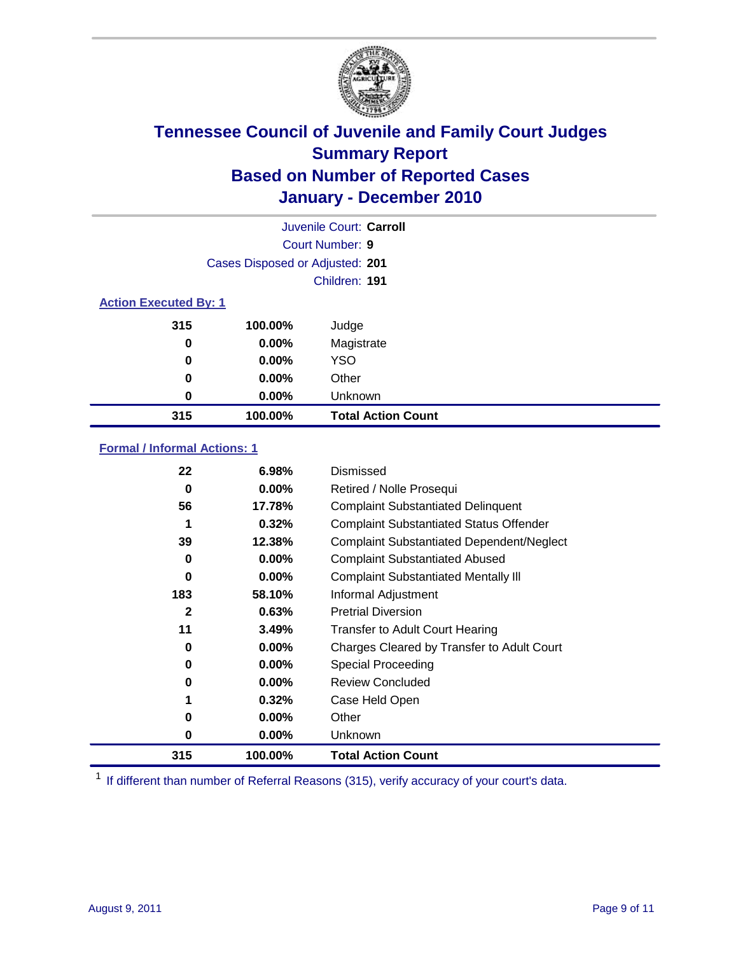

|                              | Juvenile Court: Carroll         |                           |  |  |
|------------------------------|---------------------------------|---------------------------|--|--|
|                              |                                 | Court Number: 9           |  |  |
|                              | Cases Disposed or Adjusted: 201 |                           |  |  |
|                              | Children: 191                   |                           |  |  |
| <b>Action Executed By: 1</b> |                                 |                           |  |  |
| 315                          | 100.00%                         | Judge                     |  |  |
| 0                            | 0.00%                           | Magistrate                |  |  |
| 0                            | $0.00\%$                        | <b>YSO</b>                |  |  |
| 0                            | 0.00%                           | Other                     |  |  |
| 0                            | 0.00%                           | Unknown                   |  |  |
| 315                          | 100.00%                         | <b>Total Action Count</b> |  |  |

### **Formal / Informal Actions: 1**

| 22       | 6.98%    | Dismissed                                        |
|----------|----------|--------------------------------------------------|
| 0        | $0.00\%$ | Retired / Nolle Prosequi                         |
| 56       | 17.78%   | <b>Complaint Substantiated Delinquent</b>        |
|          | 0.32%    | <b>Complaint Substantiated Status Offender</b>   |
| 39       | 12.38%   | <b>Complaint Substantiated Dependent/Neglect</b> |
| 0        | $0.00\%$ | <b>Complaint Substantiated Abused</b>            |
| $\bf{0}$ | $0.00\%$ | <b>Complaint Substantiated Mentally III</b>      |
| 183      | 58.10%   | Informal Adjustment                              |
| 2        | 0.63%    | <b>Pretrial Diversion</b>                        |
| 11       | 3.49%    | <b>Transfer to Adult Court Hearing</b>           |
| 0        | $0.00\%$ | Charges Cleared by Transfer to Adult Court       |
| 0        | $0.00\%$ | Special Proceeding                               |
| 0        | $0.00\%$ | <b>Review Concluded</b>                          |
|          | 0.32%    | Case Held Open                                   |
| 0        | $0.00\%$ | Other                                            |
| 0        | $0.00\%$ | Unknown                                          |
| 315      | 100.00%  | <b>Total Action Count</b>                        |

<sup>1</sup> If different than number of Referral Reasons (315), verify accuracy of your court's data.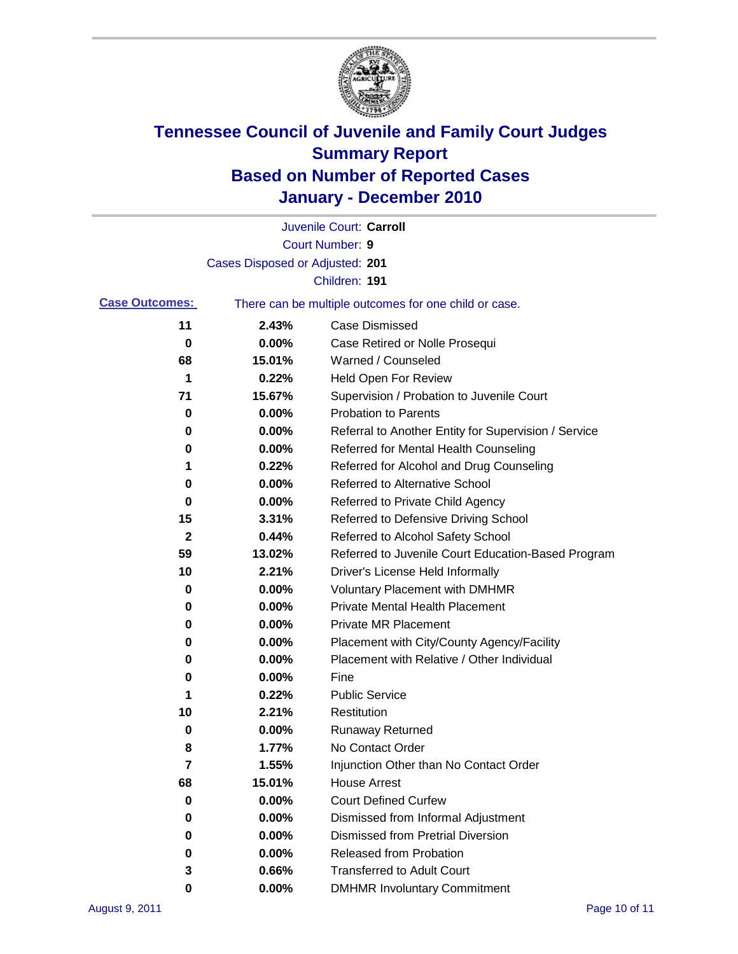

|                       |                                 | Juvenile Court: Carroll                               |
|-----------------------|---------------------------------|-------------------------------------------------------|
|                       |                                 | <b>Court Number: 9</b>                                |
|                       | Cases Disposed or Adjusted: 201 |                                                       |
|                       |                                 | Children: 191                                         |
| <b>Case Outcomes:</b> |                                 | There can be multiple outcomes for one child or case. |
| 11                    | 2.43%                           | <b>Case Dismissed</b>                                 |
| 0                     | 0.00%                           | Case Retired or Nolle Prosequi                        |
| 68                    | 15.01%                          | Warned / Counseled                                    |
| 1                     | 0.22%                           | Held Open For Review                                  |
| 71                    | 15.67%                          | Supervision / Probation to Juvenile Court             |
| 0                     | 0.00%                           | <b>Probation to Parents</b>                           |
| 0                     | 0.00%                           | Referral to Another Entity for Supervision / Service  |
| 0                     | 0.00%                           | Referred for Mental Health Counseling                 |
| 1                     | 0.22%                           | Referred for Alcohol and Drug Counseling              |
| 0                     | 0.00%                           | <b>Referred to Alternative School</b>                 |
| 0                     | 0.00%                           | Referred to Private Child Agency                      |
| 15                    | 3.31%                           | Referred to Defensive Driving School                  |
| 2                     | 0.44%                           | Referred to Alcohol Safety School                     |
| 59                    | 13.02%                          | Referred to Juvenile Court Education-Based Program    |
| 10                    | 2.21%                           | Driver's License Held Informally                      |
| 0                     | 0.00%                           | <b>Voluntary Placement with DMHMR</b>                 |
| 0                     | 0.00%                           | <b>Private Mental Health Placement</b>                |
| 0                     | 0.00%                           | <b>Private MR Placement</b>                           |
| 0                     | 0.00%                           | Placement with City/County Agency/Facility            |
| 0                     | 0.00%                           | Placement with Relative / Other Individual            |
| 0                     | 0.00%                           | Fine                                                  |
| 1                     | 0.22%                           | <b>Public Service</b>                                 |
| 10                    | 2.21%                           | Restitution                                           |
| 0                     | 0.00%                           | <b>Runaway Returned</b>                               |
| 8                     | 1.77%                           | No Contact Order                                      |
| 7                     | 1.55%                           | Injunction Other than No Contact Order                |
| 68                    | 15.01%                          | <b>House Arrest</b>                                   |
| 0                     | 0.00%                           | <b>Court Defined Curfew</b>                           |
| 0                     | 0.00%                           | Dismissed from Informal Adjustment                    |
| 0                     | $0.00\%$                        | <b>Dismissed from Pretrial Diversion</b>              |
| 0                     | 0.00%                           | Released from Probation                               |
| 3                     | 0.66%                           | <b>Transferred to Adult Court</b>                     |
| 0                     | $0.00\%$                        | <b>DMHMR Involuntary Commitment</b>                   |